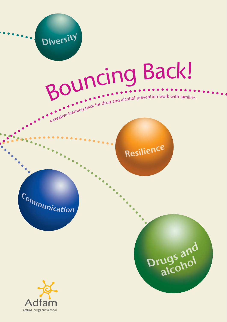

Families, drugs and alcohol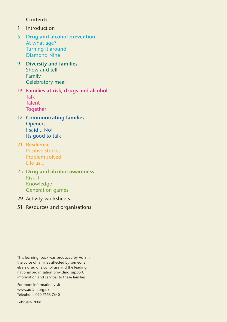## **Contents**

- 1 Introduction
- 5 **Drug and alcohol prevention** At what age? Turning it around Diamond Nine
- 9 **Diversity and families** Show and tell Family Celebratory meal

## 13 **Families at risk, drugs and alcohol** Talk Talent Together

- 17 **Communicating families Openers** I said... No! Its good to talk
- 21 **Resilience** Positive strokes Problem solved Life as...
- 25 **Drug and alcohol awareness**  Risk it Knowledge Generation games
- 29 Activity worksheets
- 51 Resources and organisations

This learning pack was produced by Adfam, the voice of families affected by someone else's drug or alcohol use and the leading national organisation providing support, information and services to these families.

For more information visit www.adfam.org.uk Telephone 020 7553 7640

February 2008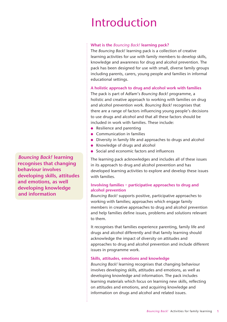## Introduction

### **What is the** *Bouncing Back!* **learning pack?**

The *Bouncing Back!* learning pack is a collection of creative learning activities for use with family members to develop skills, knowledge and awareness for drug and alcohol prevention. The pack has been designed for use with small, diverse family groups including parents, carers, young people and families in informal educational settings.

### **A holistic approach to drug and alcohol work with families**

The pack is part of Adfam's *Bouncing Back!* programme, a holistic and creative approach to working with families on drug and alcohol prevention work. *Bouncing Back!* recognises that there are a range of factors influencing young people's decisions to use drugs and alcohol and that all these factors should be included in work with families. These include:

- Resilience and parenting
- Communication in families
- Diversity in family life and approaches to drugs and alcohol
- Knowledge of drugs and alcohol
- Social and economic factors and influences

The learning pack acknowledges and includes all of these issues in its approach to drug and alcohol prevention and has developed learning activities to explore and develop these issues with families.

## **Involving families – participative approaches to drug and alcohol prevention**

*Bouncing Back!* supports positive, participative approaches to working with families; approaches which engage family members in creative approaches to drug and alcohol prevention and help families define issues, problems and solutions relevant to them.

It recognises that families experience parenting, family life and drugs and alcohol differently and that family learning should acknowledge the impact of diversity on attitudes and approaches to drug and alcohol prevention and include different issues in programme work.

### **Skills, attitudes, emotions and knowledge**

*Bouncing Back!* learning recognises that changing behaviour involves developing skills, attitudes and emotions, as well as developing knowledge and information. The pack includes learning materials which focus on learning new skills, reflecting on attitudes and emotions, and acquiring knowledge and information on drugs and alcohol and related issues.

*Bouncing Back!* **learning recognises that changing behaviour involves developing skills, attitudes and emotions, as well developing knowledge and information**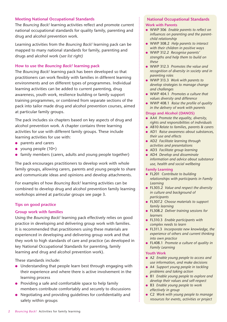### **Meeting National Occupational Standards**

The *Bouncing Back!* learning activities reflect and promote current national occupational standards for quality family, parenting and drug and alcohol prevention work.

Learning activities from the *Bouncing Back!* learning pack can be mapped to many national standards for family, parenting and drugs and alcohol work (s*ee list right)*

### **How to use the** *Bouncing Back!* **learning pack**

The *Bouncing Back!* learning pack has been developed so that practitioners can work flexibly with families in different learning environments and on different types of programmes. Individual learning activities can be added to current parenting, drug awareness, youth work, resilience building or family support training programmes, or combined from separate sections of the pack into tailor made drug and alcohol prevention courses, aimed at particular family groups.

The pack includes six chapters based on key aspects of drug and alcohol prevention work. A chapter contains three learning activities for use with different family groups. These include learning activities for use with:

- parents and carers
- young people (10+)
- family members (carers, adults and young people together)

The pack encourages practitioners to develop work with whole family groups, allowing carers, parents and young people to share and communicate ideas and opinions and develop attachments.

For examples of how *Bouncing Back!* learning activities can be combined to develop drug and alcohol prevention family learning workshops aimed at particular groups see page 3.

### **Tips on good practice**

### **Group work with families**

Using the *Bouncing Back!* learning pack effectively relies on good practice in developing and delivering group work with families. It is recommended that practitioners using these materials are experienced in developing and delivering group work and that they work to high standards of care and practice (as developed in key National Occupational Standards for parenting, family learning and drug and alcohol prevention work).

These standards include:

- Understanding that people learn best through engaging with their experience and where there is active involvement in the learning process
- Providing a safe and comfortable space to help family members contribute comfortably and securely to discussions
- Negotiating and providing guidelines for confidentiality and safety within groups

### **National Occupational Standards Work with Parents**

- WWP 306 *Enable parents to reflect on influences on parenting and the parentchild relationship*
- WWP 308.2 *Help parents to interact with their children in positive ways*
- WWP 312.2 *Recognise parents' strengths and help them to build on these*
- WWP 312.3 *Promotes the value and recognition of diversity in society and in parenting roles*
- WWP 313.3 *Work with parents to develop strategies to manage change and challenges*
- WWP 404.1 *Promotes a culture that values diversity and difference*
- WWP 408.1 *Raise the profile of quality in the delivery of work with parents*

### **Drugs and Alcohol (DANOS)**

- AA4 *Promote the equality, diversity, rights and responsibilities of individuals*
- AB10 *Relate to families, parents & carers*
- AD1 *Raise awareness about substances, their use and effects*
- AD2 *Facilitate learning through activities and presentations*
- AD3 *Facilitate group learning*
- AD4 *Develop and disseminate information and advice about substance use, health and social wellbeing*

### **Family Learning**

- FL201 *Contribute to building relationships with participants in Family Learning*
- FL303.2 *Value and respect the diversity in culture and background of participants*
- FL307.2 *Choose materials to support family learning*
- FL308.2 *Deliver training sessions for learners*
- FL310.3 *Enable participants with complex needs to learn*
- FL311.3 *Incorporate new knowledge, the experience of others and current thinking into own practice*
- FL408.1 *Promote a culture of quality in Family Learning*

### **Youth Work**

- A2 *Enable young people to access and use information, and make decisions*
- A4 *Support young people in tackling problems and taking action*
- B1 *Enable young people to explore and develop their values and self-respect*
- B3 *Enable young people to work effectively in group*
- C2 *Work with young people to manage resources for events, activities or project*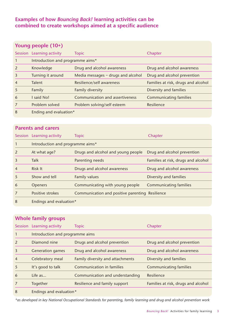## **Examples of how** *Bouncing Back!* **learning activities can be combined to create workshops aimed at a specific audience**

| Young people (10+) |                                  |                                      |                                     |
|--------------------|----------------------------------|--------------------------------------|-------------------------------------|
|                    | Session Learning activity        | <b>Topic</b>                         | Chapter                             |
|                    | Introduction and programme aims* |                                      |                                     |
| $\overline{2}$     | Knowledge                        | Drug and alcohol awareness           | Drug and alcohol awareness          |
| $\overline{3}$     | Turning it around                | Media messages $-$ drugs and alcohol | Drug and alcohol prevention         |
| $\overline{4}$     | <b>Talent</b>                    | Resilience/self awareness            | Families at risk, drugs and alcohol |
| 5                  | Family                           | Family diversity                     | Diversity and families              |
| 6                  | I said No!                       | Communication and assertiveness      | <b>Communicating families</b>       |
| 7                  | Problem solved                   | Problem solving/self esteem          | Resilience                          |
| 8                  | Ending and evaluation*           |                                      |                                     |

## **Parents and carers**

|                | Session Learning activity        | <b>Topic</b>                                    | Chapter                             |
|----------------|----------------------------------|-------------------------------------------------|-------------------------------------|
|                | Introduction and programme aims* |                                                 |                                     |
|                | At what age?                     | Drugs and alcohol and young people              | Drug and alcohol prevention         |
| 3              | Talk                             | Parenting needs                                 | Families at risk, drugs and alcohol |
| $\overline{4}$ | Risk It                          | Drugs and alcohol awareness                     | Drug and alcohol awareness          |
| 5              | Show and tell                    | <b>Family values</b>                            | Diversity and families              |
| 6              | <b>Openers</b>                   | Communicating with young people                 | <b>Communicating families</b>       |
|                | Positive strokes                 | Communication and positive parenting Resilience |                                     |
| 8              | Endings and evaluation*          |                                                 |                                     |

## **Whole family groups**

|                | Session Learning activity       | <b>Topic</b>                     | Chapter                             |
|----------------|---------------------------------|----------------------------------|-------------------------------------|
|                | Introduction and programme aims |                                  |                                     |
| $\overline{2}$ | Diamond nine                    | Drugs and alcohol prevention     | Drug and alcohol prevention         |
| $\overline{3}$ | <b>Generation games</b>         | Drug and alcohol awareness       | Drug and alcohol awareness          |
| 4              | Celebratory meal                | Family diversity and attachments | Diversity and families              |
| 5              | It's good to talk               | <b>Communication in families</b> | <b>Communicating families</b>       |
| 6              | $l$ ife as                      | Communication and understanding  | Resilience                          |
|                | Together                        | Resilience and family support    | Families at risk, drugs and alcohol |
| 8              | Endings and evaluation*         |                                  |                                     |

*\*as developed in key National Occupational Standards for parenting, family learning and drug and alcohol prevention work*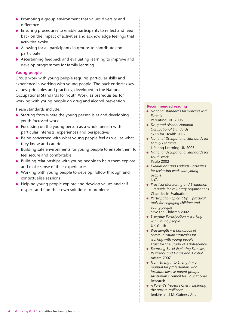- Promoting a group environment that values diversity and difference
- Ensuring procedures to enable participants to reflect and feed back on the impact of activities and acknowledge feelings that activities evoke
- Allowing for all participants in groups to contribute and participate
- Ascertaining feedback and evaluating learning to improve and develop programmes for family learning.

## **Young people**

Group work with young people requires particular skills and experience in working with young people. The pack endorses key values, principles and practices, developed in the National Occupational Standards for Youth Work, as prerequisites for working with young people on drug and alcohol prevention.

These standards include:

- Starting from where the young person is at and developing youth focussed work
- $\bullet$  Focussing on the young person as a whole person with particular interests, experiences and perspectives
- Being concerned with what young people feel as well as what they know and can do
- Building safe environments for young people to enable them to feel secure and comfortable
- Building relationships with young people to help them explore and make sense of their experiences
- Working with young people to develop, follow through and contextualise sessions
- Helping young people explore and develop values and self respect and find their own solutions to problems.

### **Recommended reading**

- *National standards for working with Parents* Parenting UK 2006
- *Drug and Alcohol National Occupational Standards* Skills for Health 2002
- *National Occupational Standards for Family Learning*
- Lifelong Learning UK 2005 ● *National Occupational Standards for Youth Work*
- Paulo 2002
- *Evaluations and Endings activities for reviewing work with young people* NYA
- *Practical Monitoring and Evaluation – a guide for voluntary organisations*  Charities in Evaluation
- *Participation Spice it Up practical tools for engaging children and young people*  Save the Children 2002
- *Everyday Participation working with young people*  UK Youth
- *Wavelength a handbook of communication strategies for working with young people* Trust for the Study of Adolescence
- *Bouncing Back! Exploring Families, Resilience and Drugs and Alcohol*  Adfam 2007
- *From Strength to Strength a manual for professionals who facilitate diverse parent groups* Australian Council for Educational Research
- *A Parent's Treasure Chest; exploring the past to resilience*  Jenkins and McGuiness Aus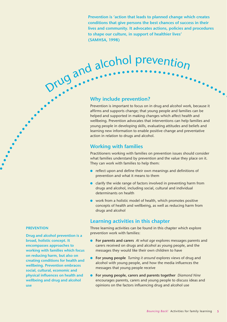Drug and alcohol prevention **Prevention is 'action that leads to planned change which creates conditions that give persons the best chances of success in their lives and community. It advocates actions, policies and procedures to shape our culture, in support of healthier lives' (SAMHSA, 1998)**

## **Why include prevention?**

Prevention is important to focus on in drug and alcohol work, because it affirms and supports change; that young people and families can be helped and supported in making changes which affect health and wellbeing. Prevention advocates that interventions can help families and young people in developing skills, evaluating attitudes and beliefs and learning new information to enable positive change and preventative action in relation to drugs and alcohol.

## **Working with families**

Practitioners working with families on prevention issues should consider what families understand by prevention and the value they place on it. They can work with families to help them:

- reflect upon and define their own meanings and definitions of prevention and what it means to them
- clarify the wide range of factors involved in preventing harm from drugs and alcohol, including social, cultural and individual determinants on health
- work from a holistic model of health, which promotes positive concepts of health and wellbeing, as well as reducing harm from drugs and alcohol

## **Learning activities in this chapter**

Three learning activities can be found in this chapter which explore prevention work with families:

- **For parents and carers** *At what age* explores messages parents and carers received on drugs and alcohol as young people, and the messages they would like their own children to have
- **For young people** *Turning it around* explores views of drug and alcohol with young people, and how the media influences the messages that young people receive
- **For young people, carers and parents together** *Diamond Nine* encourages parents, carers and young people to discuss ideas and opinions on the factors influencing drug and alcohol use

### **PREVENTION**

**Drug and alcohol prevention is a broad, holistic concept. It encompasses approaches to working with families which focus on reducing harm, but also on creating conditions for health and wellbeing. Prevention embraces social, cultural, economic and physical influences on health and wellbeing and drug and alcohol use**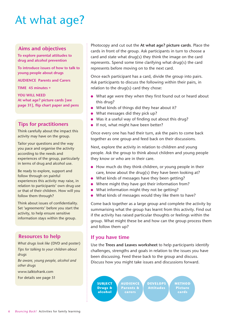## At what age?

## **Aims and objectives**

**To explore parental attitudes to drug and alcohol prevention** 

**To introduce issues of how to talk to young people about drugs** 

**AUDIENCE Parents and Carers** 

**TIME 45 minutes +** 

**YOU WILL NEED At what age? picture cards [see page 31], flip chart paper and pens** 

## **Tips for practitioners**

Think carefully about the impact this activity may have on the group.

Tailor your questions and the way you pace and organise the activity according to the needs and experiences of the group, particularly in terms of drug and alcohol use.

Be ready to explore, support and follow through on painful experiences this activity may raise, in relation to participants' own drug use or that of their children. How will you follow them through?

Think about issues of confidentiality. Set 'agreements' before you start the activity, to help ensure sensitive information stays within the group.

## **Resources to help**

*What drugs look like* (DVD and poster) *Tips for talking to your children about drugs Be aware, young people, alcohol and other drugs*  www.talktofrank.com For details see page 51

Photocopy and cut out the **At what age? picture cards**. Place the cards in front of the group. Ask participants in turn to choose a card and state what drug(s) they think the image on the card represents. Spend some time clarifying what drug(s) the card represents before moving on to the next card.

Once each participant has a card, divide the group into pairs. Ask participants to discuss the following within their pairs, in relation to the drug(s) card they chose:

- What age were they when they first found out or heard about this drug?
- What kinds of things did they hear about it?
- What messages did they pick up?
- Was it a useful way of finding out about this drug?
- If not, what might have been better?

Once every one has had their turn, ask the pairs to come back together as one group and feed back on their discussions.

Next, explore the activity in relation to children and young people. Ask the group to think about children and young people they know or who are in their care.

- How much do they think children, or young people in their care, know about the drug(s) they have been looking at?
- What kinds of messages have they been getting?
- Where might they have got their information from?
- What information might they not be getting?
- What kinds of messages would they like them to have?

Come back together as a large group and complete the activity by summarising what the group has learnt from this activity. Find out if the activity has raised particular thoughts or feelings within the group. What might these be and how can the group process them and follow them up?

## **If you have time**

Use the **Trees and Leaves worksheet** to help participants identify challenges, strengths and goals in relation to the issues you have been discussing. Feed these back to the group and discuss. Discuss how you might take issues and discussions forward.

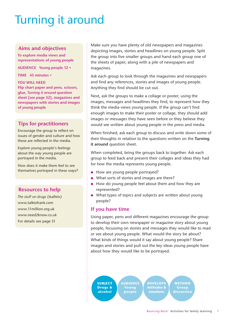## Turning it around

## **Aims and objectives**

**To explore media views and representations of young people** 

**AUDIENCE Young people 12 +** 

**TIME 45 minutes +** 

**YOU WILL NEED Flip chart paper and pens, scissors, glue,** *Turning it around* **question sheet [see page 32], magazines and newspapers with stories and images of young people**

## **Tips for practitioners**

Encourage the group to reflect on issues of gender and culture and how these are reflected in the media.

Explore young people's feelings about the way young people are portrayed in the media.

How does it make them feel to see themselves portrayed in these ways?

## **Resources to help**

*The stuff on drugs* (leaflets) www.talktofrank.com www.11million.org.uk www.need2know.co.uk For details see page 51

Make sure you have plenty of old newspapers and magazines depicting images, stories and headlines on young people. Split the group into five smaller groups and hand each group one of the sheets of paper, along with a pile of newspapers and magazines.

Ask each group to look through the magazines and newspapers and find any references, stories and images of young people. Anything they find should be cut out.

Next, ask the groups to make a collage or poster, using the images, messages and headlines they find, to represent how they think the media views young people. If the group can't find enough images to make their poster or collage, they should add images or messages they have seen before or they believe they would see written about young people in the press and media.

When finished, ask each group to discuss and write down some of their thoughts in relation to the questions written on the **Turning it around** question sheet.

When completed, bring the groups back to together. Ask each group to feed back and present their collages and ideas they had for how the media represents young people.

- How are young people portrayed?
- What sorts of stories and images are there?
- How do young people feel about them and how they are represented?
- What types of topics and subjects are written about young people?

## **If you have time**

Using paper, pens and different magazines encourage the group to develop their own newspaper or magazine story about young people, focussing on stories and messages they would like to read or see about young people. What would the story be about? What kinds of things would it say about young people? Share images and stories and pull out the key ideas young people have about how they would like to be portrayed.

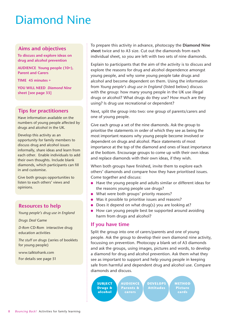## Diamond Nine

## **Aims and objectives**

**To discuss and explore ideas on drug and alcohol prevention** 

**AUDIENCE Young people (10+), Parent and Carers** 

**TIME 45 minutes +** 

**YOU WILL NEED** *Diamond Nine* **sheet [see page 33]**

## **Tips for practitioners**

Have information available on the numbers of young people affected by drugs and alcohol in the UK.

Develop this activity as an opportunity for family members to discuss drug and alcohol issues informally, share ideas and learn from each other. Enable individuals to add their own thoughts. Include blank diamonds, which participants can fill in and customise.

Give both groups opportunities to listen to each others' views and opinions.

## **Resources to help**

*Young people's drug use in England*

*Drugs Deal* Game

*D-Rom* CD-Rom interactive drug education activities

*The stuff on drugs* (series of booklets for young people)

www.talktofrank.com

For details see page 51

To prepare this activity in advance, photocopy the **Diamond Nine sheet** twice and to A3 size. Cut out the diamonds from each individual sheet, so you are left with two sets of nine diamonds.

Explain to participants that the aim of the activity is to discuss and explore the reasons for drug and alcohol dependence amongst young people, and why some young people take drugs and alcohol and become dependent on them. Using the information from *Young people's drug use in England* (listed below) discuss with the group: how many young people in the UK use illegal drugs or alcohol? What drugs do they use? How much are they using? Is drug use recreational or dependent?

Next, split the group into two: one group of parents/carers and one of young people.

Give each group a set of the nine diamonds. Ask the group to prioritise the statements in order of which they see as being the most important reasons why young people become involved or dependent on drugs and alcohol. Place statements of most importance at the top of the diamond and ones of least importance at the bottom. Encourage groups to come up with their own ideas and replace diamonds with their own ideas, if they wish.

When both groups have finished, invite them to explore each others' diamonds and compare how they have prioritised issues. Come together and discuss:

- Have the young people and adults similar or different ideas for the reasons young people use drugs?
- What were both groups' priority reasons?
- Was it possible to prioritise issues and reasons?
- Does it depend on what drug(s) you are looking at?
- How can young people best be supported around avoiding harm from drugs and alcohol?

## **If you have time**

Split the group into one of carers/parents and one of young people. Ask the group to develop their own diamond nine activity, focussing on prevention. Photocopy a blank set of A3 diamonds and ask the groups, using images, pictures and words, to develop a diamond for drug and alcohol prevention. Ask them what they see as important to support and help young people in keeping safe from harmful and dependent drug and alcohol use. Compare diamonds and discuss.

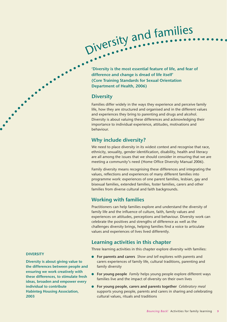**'Diversity is the most essential feature of life, and fear of difference and change is dread of life itself' (Core Training Standards for Sexual Orientation Department of Health, 2006)**

Diversity and families

## **Diversity**

Families differ widely in the ways they experience and perceive family life, how they are structured and organised and in the different values and experiences they bring to parenting and drugs and alcohol. Diversity is about valuing these differences and acknowledging their importance to individual experience, attitudes, motivations and behaviour.

## **Why include diversity?**

We need to place diversity in its widest context and recognise that race, ethnicity, sexuality, gender identification, disability, health and literacy are all among the issues that we should consider in ensuring that we are meeting a community's need (Home Office Diversity Manual 2006).

Family diversity means recognising these differences and integrating the values, reflections and experiences of many different families into programme work: experiences of one parent families, lesbian, gay and bisexual families, extended families, foster families, carers and other families from diverse cultural and faith backgrounds.

## **Working with families**

Practitioners can help families explore and understand the diversity of family life and the influence of culture, faith, family values and experiences on attitudes, perceptions and behaviour. Diversity work can celebrate the positives and strengths of difference as well as the challenges diversity brings, helping families find a voice to articulate values and experiences of lives lived differently.

## **Learning activities in this chapter**

Three learning activities in this chapter explore diversity with families:

- **For parents and carers** *Show and tell* explores with parents and carers experiences of family life, cultural traditions, parenting and family diversity
- **For young people** *Family* helps young people explore different ways families live and the impact of diversity on their own lives
- **For young people, carers and parents together** *Celebratory meal* supports young people, parents and carers in sharing and celebrating cultural values, rituals and traditions

### **DIVERSITY**

**Diversity is about giving value to the differences between people and ensuring we work creatively with these differences, to stimulate fresh ideas, broaden and empower every individual to contribute Habinteg Housing Association, 2003**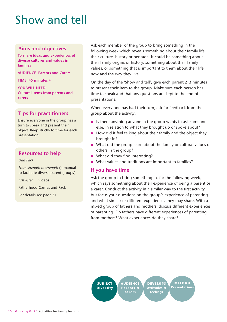## Show and tell

## **Aims and objectives**

**To share ideas and experiences of diverse cultures and values in families** 

**AUDIENCE Parents and Carers** 

**TIME 45 minutes +** 

**YOU WILL NEED Cultural items from parents and carers** 

## **Tips for practitioners**

Ensure everyone in the group has a turn to speak and present their object. Keep strictly to time for each presentation.

## **Resources to help**

*Dad Pack* 

*From strength to strength* (a manual to facilitate diverse parent groups)

*Just listen …* videos

Fatherhood Games and Pack

For details see page 51

Ask each member of the group to bring something in the following week which reveals something about their family life – their culture, history or heritage. It could be something about their family origins or history, something about their family values, or something that is important to them about their life now and the way they live.

On the day of the 'Show and tell', give each parent 2–3 minutes to present their item to the group. Make sure each person has time to speak and that any questions are kept to the end of presentations.

When every one has had their turn, ask for feedback from the group about the activity:

- Is there anything anyone in the group wants to ask someone else, in relation to what they brought up or spoke about?
- How did it feel talking about their family and the object they brought in?
- What did the group learn about the family or cultural values of others in the group?
- What did they find interesting?
- What values and traditions are important to families?

## **If you have time**

Ask the group to bring something in, for the following week, which says something about their experience of being a parent or a carer. Conduct the activity in a similar way to the first activity, but focus your questions on the group's experience of parenting and what similar or different experiences they may share. With a mixed group of fathers and mothers, discuss different experiences of parenting. Do fathers have different experiences of parenting from mothers? What experiences do they share?

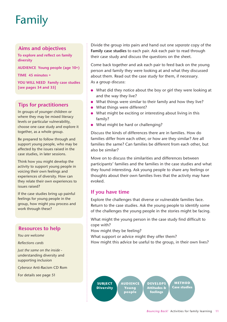## Family

## **Aims and objectives**

**To explore and reflect on family diversity** 

**AUDIENCE Young people (age 10+)**

**TIME 45 minutes +**

**YOU WILL NEED Family case studies [see pages 34 and 35]**

## **Tips for practitioners**

In groups of younger children or where they may be mixed literacy levels or particular vulnerability, choose one case study and explore it together, as a whole group.

Be prepared to follow through and support young people, who may be affected by the issues raised in the case studies, in later sessions.

Think how you might develop the activity to support young people in voicing their own feelings and experiences of diversity. How can they relate their own experiences to issues raised?

If the case studies bring up painful feelings for young people in the group, how might you process and work through these?

## **Resources to help**

*You are welcome*

*Reflections cards*

*Just the same on the inside*  understanding diversity and supporting inclusion

*Cyberace* Anti-Racism CD Rom

For details see page 51

Divide the group into pairs and hand out one *separate* copy of the **Family case studies** to each pair. Ask each pair to read through their case study and discuss the questions on the sheet.

Come back together and ask each pair to feed back on the young person and family they were looking at and what they discussed about them. Read out the case study for them, if necessary. As a group discuss:

- What did they notice about the boy or girl they were looking at and the way they live?
- What things were similar to their family and how they live?
- What things were different?
- What might be exciting or interesting about living in this family?
- What might be hard or challenging?

Discuss the kinds of differences there are in families. How do families differ from each other, or how are they similar? Are all families the same? Can families be different from each other, but also be similar?

Move on to discuss the similarities and differences between participants' families and the families in the case studies and what they found interesting. Ask young people to share any feelings or thoughts about their own families lives that the activity may have evoked.

## **If you have time**

Explore the challenges that diverse or vulnerable families face. Return to the case studies. Ask the young people to identify some of the challenges the young people in the stories might be facing.

What might the young person in the case study find difficult to cope with?

How might they be feeling?

What support or advice might they offer them?

How might this advice be useful to the group, in their own lives?

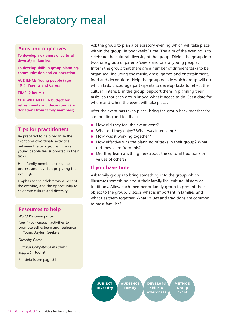## Celebratory meal

## **Aims and objectives**

**To develop awareness of cultural diversity in families**

**To develop skills in group planning, communication and co-operation** 

**AUDIENCE Young people (age 10+), Parents and Carers**

**TIME 2 hours +** 

**YOU WILL NEED A budget for refreshments and decorations (or donations from family members)**

## **Tips for practitioners**

Be prepared to help organise the event and co-ordinate activities between the two groups. Ensure young people feel supported in their tasks.

Help family members enjoy the process and have fun preparing the evening.

Emphasise the celebratory aspect of the evening, and the opportunity to celebrate culture and diversity

## **Resources to help**

*World Welcome* poster

*New in our nation -* activities to promote self-esteem and resilience in Young Asylum Seekers

*Diversity Game* 

*Cultural Competence in Family Support –* toolkit

For details see page 51

Ask the group to plan a celebratory evening which will take place within the group, in two weeks' time. The aim of the evening is to celebrate the cultural diversity of the group. Divide the group into two: one group of parents/carers and one of young people. Inform the group that there are a number of different tasks to be organised, including the music, dress, games and entertainment, food and decorations. Help the group decide which group will do which task. Encourage participants to develop tasks to reflect the cultural interests in the group. Support them in planning their tasks, so that each group knows what it needs to do. Set a date for where and when the event will take place.

After the event has taken place, bring the group back together for a debriefing and feedback.

- How did they feel the event went?
- What did they enjoy? What was interesting?
- How was it working together?
- How effective was the planning of tasks in their group? What did they learn from this?
- Did they learn anything new about the cultural traditions or values of others?

## **If you have time**

Ask family groups to bring something into the group which illustrates something about their family life, culture, history or traditions. Allow each member or family group to present their object to the group. Discuss what is important in families and what ties them together. What values and traditions are common to most families?

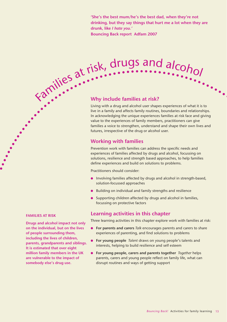**'She's the best mum/he's the best dad, when they're not drinking, but they say things that hurt me a lot when they are drunk, like** *I hate you.'* **Bouncing Back report Adfam 2007**

# **Families at risk, drugs and alcohol**<br> **Experiment why include families at risk?**

Living with a drug and alcohol user shapes experiences of what it is to live in a family and affects family routines, boundaries and relationships. In acknowledging the unique experiences families at risk face and giving value to the experiences of family members, practitioners can give families a voice to strengthen, understand and shape their own lives and futures, irrespective of the drug or alcohol user.

## **Working with families**

Prevention work with families can address the specific needs and experiences of families affected by drugs and alcohol, focussing on solutions, resilience and strength based approaches, to help families define experiences and build on solutions to problems.

Practitioners should consider:

- Involving families affected by drugs and alcohol in strength-based, solution-focussed approaches
- Building on individual and family strengths and resilience
- Supporting children affected by drugs and alcohol in families, focussing on protective factors

## **Learning activities in this chapter**

Three learning activities in this chapter explore work with families at risk:

- **For parents and carers** *Talk* encourages parents and carers to share experiences of parenting, and find solutions to problems
- **For young people** *Talent* draws on young people's talents and interests, helping to build resilience and self esteem
- **For young people, carers and parents together** *Together* helps parents, carers and young people reflect on family life, what can disrupt routines and ways of getting support

### **FAMILIES AT RISK**

**Drugs and alcohol impact not only on the individual, but on the lives of people surrounding them, including the lives of children, parents, grandparents and siblings. It is estimated that over eight million family members in the UK are vulnerable to the impact of somebody else's drug use.**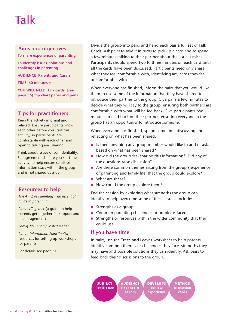## Talk

## **Aims and objectives**

**To share experiences of parenting** 

**To identify issues, solutions and challenges in parenting** 

**AUDIENCE Parents and Carers** 

**TIME 60 minutes +**

**YOU WILL NEED Talk cards, [see page 36] flip chart paper and pens** 

## **Tips for practitioners**

Keep the activity informal and relaxed. Ensure participants know each other before you start this activity, so participants are comfortable with each other and open to talking and sharing.

Think about issues of confidentiality. Set agreements before you start the activity, to help ensure sensitive information stays within the group and is not shared outside.

## **Resources to help**

*The A – Z of Parenting – an essential guide to parenting* 

*Parents Together* (a guide to help parents get together for support and encouragement)

*Family life is complicated* leaflet

*Parent Information Point Toolkit* resources for setting up workshops for parents

For details see page 51

Divide the group into pairs and hand each pair a full set of **Talk Cards**. Ask pairs to take it in turns to pick up a card and to spend a few minutes talking to their partner about the issue it raises. Participants should spend two to three minutes on each card until all the cards have been discussed. Participants need only share what they feel comfortable with, identifying any cards they feel uncomfortable with.

When everyone has finished, inform the pairs that you would like them to use some of the information that they have shared to introduce their partner to the group. Give pairs a few minutes to decide what they will say to the group, ensuring both partners are comfortable with what will be fed back. Give participants two minutes to feed back on their partner, ensuring everyone in the group has an opportunity to introduce someone.

When everyone has finished, spend some time discussing and reflecting on what has been shared:

- Is there anything any group member would like to add or ask, based on what has been shared?
- How did the group feel sharing this information? Did any of the questions raise discussion?
- Are there common themes arising from the group's experience of parenting and family life, that the group could explore?
- What are these?
- How could the group explore them?

End the session by exploring what strengths the group can identify to help overcome some of these issues. Include:

- Strengths as a group
- Common parenting challenges or problems faced
- Strengths or resources within the wider community that they could use

## **If you have time**

In pairs, use the **Trees and Leaves** worksheet to help parents identify common themes or challenges they face, strengths they may have and possible solutions they can identify. Ask pairs to feed back their discussions to the group.

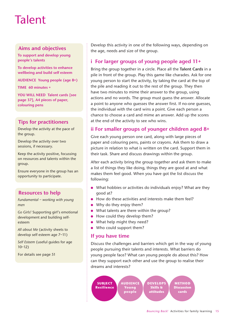## Talent

## **Aims and objectives**

**To support and develop young people's talents** 

**To develop activities to enhance wellbeing and build self esteem**

**AUDIENCE Young people (age 8+)**

**TIME 60 minutes +** 

**YOU WILL NEED Talent cards [see page 37], A4 pieces of paper, colouring pens** 

## **Tips for practitioners**

Develop the activity at the pace of the group.

Develop the activity over two sessions, if necessary.

Keep the activity positive, focussing on resources and talents within the group.

Ensure everyone in the group has an opportunity to participate.

## **Resources to help**

*Fundamental – working with young men* 

*Go Girls!* Supporting girl's emotional development and building selfesteem

*All about Me* (activity sheets to develop self esteem age 7–11)

**Self Esteem (useful guides for age** 10–12)

For details see page 51

Develop this activity in one of the following ways, depending on the age, needs and size of the group.

## **i For larger groups of young people aged 11+**

Bring the group together in a circle. Place all the **Talent Cards** in a pile in front of the group. Play this game like charades. Ask for one young person to start the activity, by taking the card at the top of the pile and reading it out to the rest of the group. They then have two minutes to mime their answer to the group, using actions and no words. The group must guess the answer. Allocate a point to anyone who guesses the answer first. If no-one guesses, the individual with the card wins a point. Give each person a chance to choose a card and mime an answer. Add up the scores at the end of the activity to see who wins.

## **ii For smaller groups of younger children aged 8+**

Give each young person one card, along with large pieces of paper and colouring pens, paints or crayons. Ask them to draw a picture in relation to what is written on the card. Support them in their task. Share and discuss drawings within the group.

After each activity bring the group together and ask them to make a list of things they like doing, things they are good at and what makes them feel good. When you have got the list discuss the following:

- What hobbies or activities do individuals enjoy? What are they good at?
- How do these activities and interests make them feel?
- Why do they enjoy them?
- What talents are there within the group?
- How could they develop them?
- What help might they need?
- Who could support them?

## **If you have time**

Discuss the challenges and barriers which get in the way of young people pursuing their talents and interests. What barriers do young people face? What can young people do about this? How can they support each other and use the group to realise their dreams and interests?

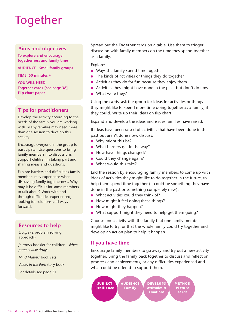## Together

## **Aims and objectives**

**To explore and encourage togetherness and family time** 

**AUDIENCE Small family groups**

**TIME 60 minutes +** 

**YOU WILL NEED Together cards [see page 38] Flip chart paper**

## **Tips for practitioners**

Develop the activity according to the needs of the family you are working with. Many families may need more than one session to develop this activity.

Encourage everyone in the group to participate. Use questions to bring family members into discussions. Support children in taking part and sharing ideas and questions.

Explore barriers and difficulties family members may experience when discussing family togetherness. Why may it be difficult for some members to talk about? Work with and through difficulties experienced, looking for solutions and ways forward.

## **Resources to help**

*Escape* (a problem solving approach)

*Journeys* booklet for children - *When parents take drugs*

*Mind Matters* book sets

*Voices in the Park* story book

For details see page 51

Spread out the **Together** cards on a table. Use them to trigger discussion with family members on the time they spend together as a family.

Explore:

- Ways the family spend time together
- The kinds of activities or things they do together
- Activities they do for fun because they enjoy them
- Activities they might have done in the past, but don't do now
- What were they?

Using the cards, ask the group for ideas for activities or things they might like to spend more time doing together as a family, if they could. Write up their ideas on flip chart.

Expand and develop the ideas and issues families have raised.

If ideas have been raised of activities that have been done in the past but aren't done now, discuss;

- Why might this be?
- What barriers get in the way?
- How have things changed?
- Could they change again?
- What would this take?

End the session by encouraging family members to come up with ideas of activities they might like to do together in the future, to help them spend time together (it could be something they have done in the past or something completely new):

- What activities could they think of?
- How might it feel doing these things?
- How might they happen?
- What support might they need to help get them going?

Choose one activity with the family that one family member might like to try, or that the whole family could try together and develop an action plan to help it happen.

## **If you have time**

Encourage family members to go away and try out a new activity together. Bring the family back together to discuss and reflect on progress and achievements, or any difficulties experienced and what could be offered to support them.

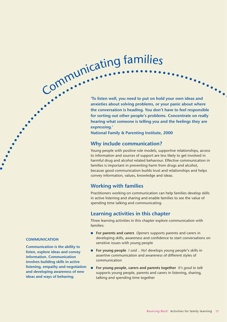# Communicatin<sup>g</sup> <sup>f</sup>amilie<sup>s</sup>

**'To listen well, you need to put on hold your own ideas and anxieties about solving problems, or your panic about where the conversation is heading. You don't have to feel responsible for sorting out other people's problems. Concentrate on really hearing what someone is telling you and the feelings they are expressing.'**

**National Family & Parenting Institute, 2000**

### **Why include communication?**

Young people with positive role models, supportive relationships, access to information and sources of support are less likely to get involved in harmful drug and alcohol related behaviour. Effective communication in families is important in preventing harm from drugs and alcohol, because good communication builds trust and relationships and helps convey information, values, knowledge and ideas.

## **Working with families**

Practitioners working on communication can help families develop skills in active listening and sharing and enable families to see the value of spending time talking and communicating.

## **Learning activities in this chapter**

Three learning activities in this chapter explore communication with families:

- **For parents and carers** *Openers* supports parents and carers in developing skills, awareness and confidence to start conversations on sensitive issues with young people
- **For young people** *I said .. No!* develops young people's skills in assertive communication and awareness of different styles of communication
- **For young people, carers and parents together** *It's good to talk* supports young people, parents and carers in listening, sharing, talking and spending time together

### **COMMUNICATION**

**Communication is the ability to listen, explore ideas and convey information. Communication involves building skills in active listening, empathy and negotiation and developing awareness of new ideas and ways of behaving.**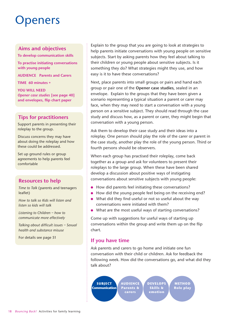## **Openers**

## **Aims and objectives**

**To develop communication skills** 

**To practise initiating conversations with young people**

**AUDIENCE Parents and Carers** 

**TIME 60 minutes +** 

**YOU WILL NEED**  *Opener case studies* **[see page 40] and envelopes, flip chart paper** 

## **Tips for practitioners**

Support parents in presenting their roleplay to the group.

Discuss concerns they may have about doing the roleplay and how these could be addressed.

Set up ground rules or group agreements to help parents feel comfortable

## **Resources to help**

*Time to Talk* (parents and teenagers leaflet)

*How to talk so Kids will listen and listen so kids will talk* 

*Listening to Children – how to communicate more effectively* 

*Talking about difficult issues – Sexual health and substance misuse* 

For details see page 51

Explain to the group that you are going to look at strategies to help parents initiate conversations with young people on sensitive subjects. Start by asking parents how they feel about talking to their children or young people about sensitive subjects. Is it something they do? What strategies might they use, and how easy is it to have these conversations?

Next, place parents into small groups or pairs and hand each group or pair one of the **Opener case studies**, sealed in an envelope. Explain to the groups that they have been given a scenario representing a typical situation a parent or carer may face, when they may need to start a conversation with a young person on a sensitive subject. They should read through the case study and discuss how, as a parent or carer, they might begin that conversation with a young person.

Ask them to develop their case study and their ideas into a roleplay. One person should play the role of the carer or parent in the case study, another play the role of the young person. Third or fourth persons should be observers.

When each group has practised their roleplay, come back together as a group and ask for volunteers to present their roleplays to the large group. When these have been shared develop a discussion about positive ways of instigating conversations about sensitive subjects with young people:

- How did parents feel initiating these conversations?
- How did the young people feel being on the receiving end?
- What did they find useful or not so useful about the way conversations were initiated with them?
- What are the most useful ways of starting conversations?

Come up with suggestions for useful ways of starting up conversations within the group and write them up on the flip chart.

## **If you have time**

Ask parents and carers to go home and initiate one fun conversation with their child or children. Ask for feedback the following week. How did the conversations go, and what did they talk about?

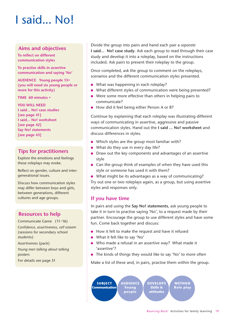## I said... No!

## **Aims and objectives**

**To reflect on different communication styles** 

**To practise skills in assertive communication and saying 'No'**

**AUDIENCE Young people 13+ (you will need six young people or more for this activity)** 

**TIME 60 minutes +** 

**YOU WILL NEED I said... No! case studies [see page 41] I said... No! worksheet [see page 42] Say No! statements [see page 43]**

## **Tips for practitioners**

Explore the emotions and feelings these roleplays may evoke.

Reflect on gender, culture and intergenerational issues.

Discuss how communication styles may differ between boys and girls, between generations, different cultures and age groups.

## **Resources to help**

Communicate Game (11–16) *Confidence, assertiveness, self esteem* (sessions for secondary school students) *Assertiveness* (pack) *Young men talking about talking* posters

For details see page 51

Divide the group into pairs and hand each pair a *separate* **I said... No! case study**. Ask each group to read through their case study and develop it into a roleplay, based on the instructions included. Ask pairs to present their roleplay to the group.

Once completed, ask the group to comment on the roleplays, scenarios and the different communication styles presented.

- What was happening in each roleplay?
- What different styles of communication were being presented?
- Were some more effective than others in helping pairs to communicate?
- How did it feel being either Person A or B?

Continue by explaining that each roleplay was illustrating different ways of communicating in assertive, aggressive and passive communication styles. Hand out the **I said ... No! worksheet** and discuss differences in styles.

- Which styles are the group most familiar with?
- What do they use in every day life?
- Draw out the key components and advantages of an assertive style
- Can the group think of examples of when they have used this style or someone has used it with them?

● What might be its advantages as a way of communicating? Try out one or two roleplays again, as a group, but using assertive styles and responses only.

## **If you have time**

In pairs and using the **Say No! statements**, ask young people to take it in turn to practise saying 'No', to a request made by their partner. Encourage the group to use different styles and have some fun. Come back together and discuss:

- How it felt to make the request and have it refused
- What it felt like to say 'No'
- Who made a refusal in an assertive way? What made it 'assertive'?
- The kinds of things they would like to say 'No' to more often

Make a list of these and, in pairs, practise them within the group.

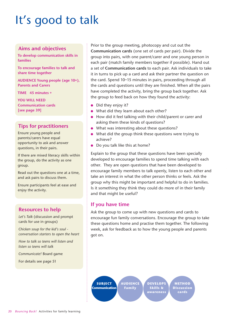## It's good to talk

## **Aims and objectives**

**To develop communication skills in families** 

**To encourage families to talk and share time together** 

**AUDIENCE Young people (age 10+), Parents and Carers** 

**TIME 45 minutes +** 

**YOU WILL NEED Communication cards [see page 39]**

## **Tips for practitioners**

Ensure young people and parents/carers have equal opportunity to ask and answer questions, in their pairs.

If there are mixed literacy skills within the group, do the activity as one group.

Read out the questions one at a time, and ask pairs to discuss them.

Ensure participants feel at ease and enjoy the activity.

## **Resources to help**

Let's Talk (discussion and prompt cards for use in groups)

*Chicken soup for the kid's soul conversation starters to open the heart* 

*How to talk so teens will listen and listen so teens will talk*

*Communicate!* Board game

For details see page 51

Prior to the group meeting, photocopy and cut out the **Communication cards** (one set of cards per pair). Divide the group into pairs, with one parent/carer and one young person in each pair (match family members together if possible). Hand out a set of **Communication cards** to each pair. Ask individuals to take it in turns to pick up a card and ask their partner the question on the card. Spend 10–15 minutes in pairs, proceeding through all the cards and questions until they are finished. When all the pairs have completed the activity, bring the group back together. Ask the group to feed back on how they found the activity:

- Did they enjoy it?
- What did they learn about each other?
- How did it feel talking with their child/parent or carer and asking them these kinds of questions?
- What was interesting about these questions?
- What did the group think these questions were trying to achieve?
- Do you talk like this at home?

Explain to the group that these questions have been specially developed to encourage families to spend time talking with each other. They are open questions that have been developed to encourage family members to talk openly, listen to each other and take an interest in what the other person thinks or feels. Ask the group why this might be important and helpful to do in families. Is it something they think they could do more of in their family and that might be useful?

## **If you have time**

Ask the group to come up with new questions and cards to encourage fun family conversations. Encourage the group to take these questions home and practise them together. The following week, ask for feedback as to how the young people and parents got on.

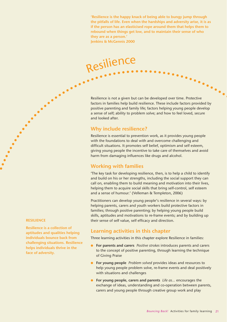**'Resilience is the happy knack of being able to bungy jump through the pitfalls of life. Even when the hardships and adversity arise, it is as if the person has an elasticised rope around them that helps them to rebound when things get low, and to maintain their sense of who they are as a person.'**

**Jenkins & McGennis 2000**

Resilience esilience is not a given but can be developed over time. Protective factors in families help build resilience. These include factors provided by positive parenting and family life; factors helping young people develop a sense of self; ability to problem solve; and how to feel loved, secure and looked after.

### **Why include resilience?**

Resilience is essential to prevention work, as it provides young people with the foundations to deal with and overcome challenging and difficult situations. It promotes self belief, optimism and self esteem, giving young people the incentive to take care of themselves and avoid harm from damaging influences like drugs and alcohol.

## **Working with families**

'The key task for developing resilience, then, is to help a child to identify and build on his or her strengths, including the social support they can call on, enabling them to build meaning and motivation into their lives, helping them to acquire social skills that bring self-control, self esteem and a sense of humour.' (Velleman & Templeton, 2006)

Practitioners can develop young people's resilience in several ways: by helping parents, carers and youth workers build protective factors in families; through positive parenting; by helping young people build skills, aptitudes and motivations to re-frame events; and by building up their sense of self value, self efficacy and direction.

## **Learning activities in this chapter**

Three learning activities in this chapter explore Resilience in families:

- **For parents and carers** *Positive strokes* introduces parents and carers to the concept of positive parenting, through learning the technique of Giving Praise
- **For young people** *Problem solved* provides ideas and resources to help young people problem solve, re-frame events and deal positively with situations and challenges
- **For young people, carers and parents** *Life as...* encourages the exchange of ideas, understanding and co-operation between parents, carers and young people through creative group work and play

### **RESILIENCE**

**Resilience is a collection of aptitudes and qualities helping individuals bounce back from challenging situations. Resilience helps individuals thrive in the face of adversity.**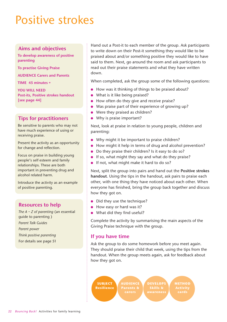## Positive strokes

## **Aims and objectives**

**To develop awareness of positive parenting** 

**To practise Giving Praise**

**AUDIENCE Carers and Parents** 

**TIME 45 minutes +** 

**YOU WILL NEED Post-its, Positive strokes handout [see page 44]**

## **Tips for practitioners**

Be sensitive to parents who may not have much experience of using or receiving praise.

Present the activity as an opportunity for change and reflection.

Focus on praise in building young people's self esteem and family relationships. These are both important in preventing drug and alcohol related harm.

Introduce the activity as an example of positive parenting.

## **Resources to help**

*The A – Z of parenting* (an essential guide to parenting ) *Parent Talk Guides Parent power Think positive parenting* For details see page 51

Hand out a Post-it to each member of the group. Ask participants to write down on their Post-it something they would like to be praised about and/or something positive they would like to have said to them. Next, go around the room and ask participants to read out their praise statements and what they have written down.

When completed, ask the group some of the following questions:

- How was it thinking of things to be praised about?
- What is it like being praised?
- How often do they give and receive praise?
- Was praise part of their experience of growing up?
- Were they praised as children?
- Why is praise important?

Next, look at praise in relation to young people, children and parenting:

- Why might it be important to praise children?
- How might it help in terms of drug and alcohol prevention?
- Do they praise their children? Is it easy to do so?
- If so, what might they say and what do they praise?
- If not, what might make it hard to do so?

Next, split the group into pairs and hand out the **Positive strokes handout**. Using the tips in the handout, ask pairs to praise each other, with one thing they have noticed about each other. When everyone has finished, bring the group back together and discuss how they got on.

- Did they use the technique?
- How easy or hard was it?
- What did they find useful?

Complete the activity by summarising the main aspects of the Giving Praise technique with the group.

## **If you have time**

Ask the group to do some homework before you meet again. They should praise their child that week, using the tips from the handout. When the group meets again, ask for feedback about how they got on.

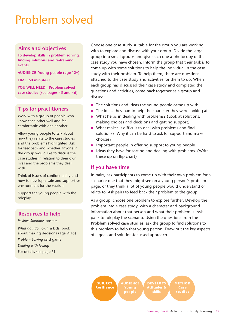## Problem solved

## **Aims and objectives**

**To develop skills in problem solving, finding solutions and re-framing events**

**AUDIENCE Young people (age 12+)** 

**TIME 60 minutes +** 

**YOU WILL NEED Problem solved case studies [see pages 45 and 46]**

## **Tips for practitioners**

Work with a group of people who know each other well and feel comfortable with one another.

Allow young people to talk about how they relate to the case studies and the problems highlighted. Ask for feedback and whether anyone in the group would like to discuss the case studies in relation to their own lives and the problems they deal with.

Think of issues of confidentiality and how to develop a safe and supportive environment for the session.

Support the young people with the roleplay.

## **Resources to help**

*Positive Solutions* posters

*What do I do now?* a kids' book about making decisions (age 9–16) *Problem Solving* card game *Dealing with feeling* 

For details see page 51

Choose one case study suitable for the group you are working with to explore and discuss with your group. Divide the large group into small groups and give each one a photocopy of the case study you have chosen. Inform the group that their task is to come up with some solutions to help the individual in the case study with their problem. To help them, there are questions attached to the case study and activities for them to do. When each group has discussed their case study and completed the questions and activities, come back together as a group and discuss:

- The solutions and ideas the young people came up with
- The ideas they had to help the character they were looking at
- What helps in dealing with problems? (Look at solutions, making choices and decisions and getting support)
- What makes it difficult to deal with problems and find solutions? Why it can be hard to ask for support and make choices?
- Important people in offering support to young people
- Ideas they have for sorting and dealing with problems. (Write these up on flip chart)

## **If you have time**

In pairs, ask participants to come up with their own problem for a scenario: one that they might see on a young person's problem page, or they think a lot of young people would understand or relate to. Ask pairs to feed back their problem to the group.

As a group, choose one problem to explore further. Develop the problem into a case study, with a character and background information about that person and what their problem is. Ask pairs to roleplay the scenario. Using the questions from the **Problem solved case studies**, ask the group to find solutions to this problem to help that young person. Draw out the key aspects of a goal- and solution-focussed approach.

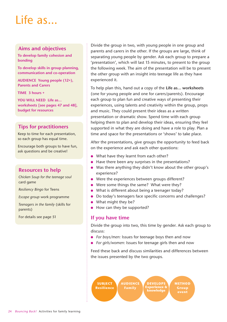## Life as...

## **Aims and objectives**

**To develop family cohesion and bonding**

**To develop skills in group planning, communication and co-operation** 

**AUDIENCE Young people (12+), Parents and Carers** 

**TIME 3 hours +** 

**YOU WILL NEED Life as... worksheets [see pages 47 and 48], budget for resources** 

## **Tips for practitioners**

Keep to time for each presentation, so each group has equal time.

Encourage both groups to have fun, ask questions and be creative!

## **Resources to help**

*Chicken Soup for the teenage soul* card game

*Resiliency Bingo* for Teens

*Escape group* work programme

*Teenagers in the family* (skills for parents)

For details see page 51

Divide the group in two, with young people in one group and parents and carers in the other. If the groups are large, think of separating young people by gender. Ask each group to prepare a 'presentation', which will last 15 minutes, to present to the group the following week. The aim of the presentation will be to present the other group with an insight into teenage life as they have experienced it.

To help plan this, hand out a copy of the **Life as... worksheets** (one for young people and one for carers/parents). Encourage each group to plan fun and creative ways of presenting their experiences, using talents and creativity within the group, props and music. They could present their ideas as a written presentation or dramatic show. Spend time with each group helping them to plan and develop their ideas, ensuring they feel supported in what they are doing and have a role to play. Plan a time and space for the presentations or 'shows' to take place.

After the presentations, give groups the opportunity to feed back on the experience and ask each other questions:

- What have they learnt from each other?
- Have there been any surprises in the presentations?
- Was there anything they didn't know about the other group's experience?
- Were the experiences between groups different?
- Were some things the same? What were they?
- What is different about being a teenager today?
- Do today's teenagers face specific concerns and challenges?
- What might they be?
- How can they be supported?

## **If you have time**

Divide the group into two, this time by gender. Ask each group to discuss:

- *For boys/men:* Issues for teenage boys then and now
- *For girls/women*: Issues for teenage girls then and now

Feed these back and discuss similarities and differences between the issues presented by the two groups.

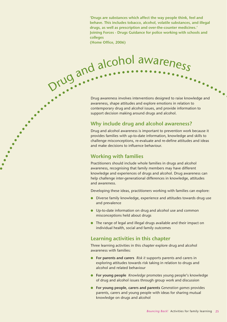**'Drugs are substances which affect the way people think, feel and behave. This includes tobacco, alcohol, volatile substances, and illegal drugs, as well as prescription and over-the-counter medicines.' Joining Forces - Drugs Guidance for police working with schools and colleges** 

**(Home Office, 2006)**

ò

Orugand alcohol awareness

Drug awareness involves interventions designed to raise knowledge and awareness, shape attitudes and explore emotions in relation to contemporary drug and alcohol issues, and provide information to support decision making around drugs and alcohol.

## **Why include drug and alcohol awareness?**

Drug and alcohol awareness is important to prevention work because it provides families with up-to-date information, knowledge and skills to challenge misconceptions, re-evaluate and re-define attitudes and ideas and make decisions to influence behaviour.

## **Working with families**

Practitioners should include whole families in drugs and alcohol awareness, recognising that family members may have different knowledge and experiences of drugs and alcohol. Drug awareness can help challenge inter-generational differences in knowledge, attitudes and awareness.

Developing these ideas, practitioners working with families can explore:

- Diverse family knowledge, experience and attitudes towards drug use and prevalence
- Up-to-date information on drug and alcohol use and common misconceptions held about drugs
- The range of legal and illegal drugs available and their impact on individual health, social and family outcomes

## **Learning activities in this chapter**

Three learning activities in this chapter explore drug and alcohol awareness with families:

- **For parents and carers** *Risk it* supports parents and carers in exploring attitudes towards risk taking in relation to drugs and alcohol and related behaviour
- **For young people** *Knowledge* promotes young people's knowledge of drug and alcohol issues through group work and discussion
- **For young people, carers and parents** *Generation games* provides parents, carers and young people with ideas for sharing mutual knowledge on drugs and alcohol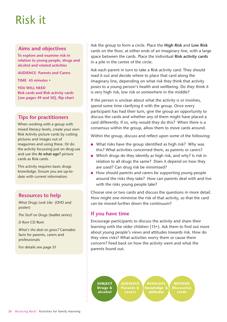## Risk it

## **Aims and objectives**

**To explore and examine risk in relation to young people, drugs and alcohol and related activities**

**AUDIENCE Parents and Carers** 

**TIME 45 minutes +** 

**YOU WILL NEED Risk cards and Risk activity cards [see pages 49 and 50], flip chart**

## **Tips for practitioners**

When working with a group with mixed literacy levels, create your own Risk Activity picture cards by cutting pictures and images out of magazines and using these. Or do the activity focussing just on drug use and use the **At what age?** picture cards as Risk cards.

This activity requires basic drugs knowledge. Ensure you are up-todate with current information.

## **Resources to help**

*What Drugs Look Like* (DVD and poster)

*The Stuff on Drugs* (leaflet series)

*D Rom* CD Rom

*What's the deal on grass?* Cannabis facts for parents, carers and professionals

For details see page 51

Ask the group to form a circle. Place the **High Risk** and **Low Risk** cards on the floor, at either ends of an imaginary line, with a large space between the cards. Place the individual **Risk activity cards** in a pile in the centre of the circle.

Ask each parent in turn to take a Risk activity card. They should read it out and decide where to place that card along the imaginary line, depending on what risk they think that activity poses to a young person's health and wellbeing. Do they think it is very high risk, low risk or somewhere in the middle?

If the person is unclear about what the activity is or involves, spend some time clarifying it with the group. Once every participant has had their turn, give the group an opportunity to discuss the cards and whether any of them might have placed a card differently. If so, why would they do this? When there is a consensus within the group, allow them to move cards around.

Within the group, discuss and reflect upon some of the following:

- What risks have the group identified as high risk? Why was this? What activities concerned them, as parents or carers?
- Which drugs do they identify as high risk, and why? Is risk in relation to all drugs the same? Does it depend on how they are used? Can drug risk be minimised?
- How should parents and carers be supporting young people around the risks they take? How can parents deal with and live with the risks young people take?

Choose one or two cards and discuss the questions in more detail. How might one minimise the risk of that activity, so that the card can be moved further down the continuum?

## **If you have time**

Encourage participants to discuss the activity and share their learning with the older children (13+). Ask them to find out more about young people's views and attitudes towards risk. How do they view risks? What activities worry them or cause them concern? Feed back on how the activity went and what the parents found out.

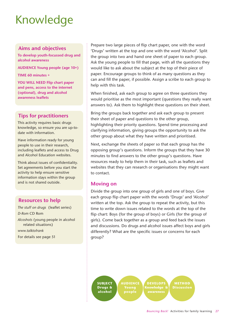## Knowledge

## **Aims and objectives**

**To develop youth-focussed drug and alcohol awareness**

**AUDIENCE Young people (age 10+)** 

**TIME 60 minutes +** 

**YOU WILL NEED Flip chart paper and pens, access to the internet (optional), drug and alcohol awareness leaflets** 

## **Tips for practitioners**

This activity requires basic drugs knowledge, so ensure you are up-todate with information.

Have information ready for young people to use in their research, including leaflets and access to Drug and Alcohol Education websites.

Think about issues of confidentiality. Set agreements before you start the activity to help ensure sensitive information stays within the group and is not shared outside.

## **Resources to help**

*The stuff on drugs* (leaflet series) *D-Rom* CD Rom *Alcoshots* (young people in alcohol related situations) *www.talktofrank* For details see page 51

Prepare two large pieces of flip chart paper, one with the word 'Drugs' written at the top and one with the word 'Alcohol'. Split the group into two and hand one sheet of paper to each group. Ask the young people to fill that page, with all the questions they would like to ask about the subject at the top of their piece of paper. Encourage groups to think of as many questions as they can and fill the paper, if possible. Assign a scribe to each group to help with this task.

When finished, ask each group to agree on three questions they would prioritise as the most important (questions they really want answers to). Ask them to highlight these questions on their sheet.

Bring the groups back together and ask each group to present their sheet of paper and questions to the other group, highlighting their priority questions. Spend time processing and clarifying information, giving groups the opportunity to ask the other group about what they have written and prioritised.

Next, exchange the sheets of paper so that each group has the opposing group's questions. Inform the groups that they have 30 minutes to find answers to the other group's questions. Have resources ready to help them in their task, such as leaflets and websites that they can research or organisations they might want to contact.

## **Moving on**

Divide the group into one group of girls and one of boys. Give each group flip chart paper with the words 'Drugs' and 'Alcohol' written at the top. Ask the group to repeat the activity, but this time to write down issues related to the words at the top of the flip chart: Boys (for the group of boys) or Girls (for the group of girls). Come back together as a group and feed back the issues and discussions. Do drugs and alcohol issues affect boys and girls differently? What are the specific issues or concerns for each group?

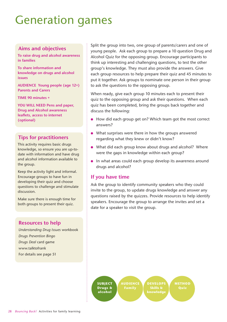## Generation games

## **Aims and objectives**

**To raise drug and alcohol awareness in families**

**To share information and knowledge on drugs and alcohol issues**

**AUDIENCE Young people (age 12+) Parents and Carers** 

**TIME 90 minutes +**

**YOU WILL NEED Pens and paper, Drug and Alcohol awareness leaflets, access to internet (optional)** 

## **Tips for practitioners**

This activity requires basic drugs knowledge, so ensure you are up-todate with information and have drug and alcohol information available to the group.

Keep the activity light and informal. Encourage groups to have fun in developing their quiz and choose questions to challenge and stimulate discussion.

Make sure there is enough time for both groups to present their quiz.

## **Resources to help**

*Understanding Drug Issues* workbook *Drugs Prevention Bingo Drugs Deal* card game www.talktofrank For details see page 51

Split the group into two, one group of parents/carers and one of young people. Ask each group to prepare a 10 question Drug and Alcohol Quiz for the opposing group. Encourage participants to think up interesting and challenging questions, to test the other group's knowledge. They must also provide the answers. Give each group resources to help prepare their quiz and 45 minutes to put it together. Ask groups to nominate one person in their group to ask the questions to the opposing group.

When ready, give each group 10 minutes each to present their quiz to the opposing group and ask their questions. When each quiz has been completed, bring the groups back together and discuss the following:

- How did each group get on? Which team got the most correct answers?
- What surprises were there in how the groups answered regarding what they knew or didn't know?
- What did each group know about drugs and alcohol? Where were the gaps in knowledge within each group?
- In what areas could each group develop its awareness around drugs and alcohol?

## **If you have time**

Ask the group to identify community speakers who they could invite to the group, to update drugs knowledge and answer any questions raised by the quizzes. Provide resources to help identify speakers. Encourage the group to arrange the invites and set a date for a speaker to visit the group.

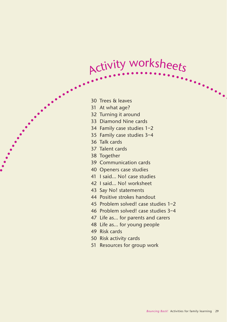## <sup>A</sup>ctivit<sup>y</sup> <sup>w</sup>orksheet<sup>s</sup>

- 30 Trees & leaves
- 31 At what age?
- 32 Turning it around
- 33 Diamond Nine cards
- 34 Family case studies 1–2
- 35 Family case studies 3–4
- 36 Talk cards
- 37 Talent cards
- 38 Together
- 39 Communication cards
- 40 Openers case studies
- 41 I said... No! case studies
- 42 I said... No! worksheet
- 43 Say No! statements
- 44 Positive strokes handout
- 45 Problem solved! case studies 1–2
- 46 Problem solved! case studies 3–4
- 47 Life as... for parents and carers
- 48 Life as... for young people
- 49 Risk cards
- 50 Risk activity cards
- 51 Resources for group work

 $\ddotsc$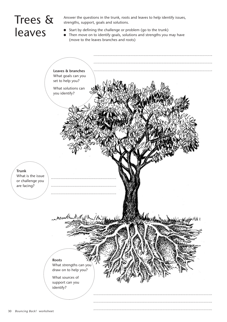## Trees & leaves

Answer the questions in the trunk, roots and leaves to help identify issues, strengths, support, goals and solutions.

- Start by defining the challenge or problem (go to the trunk)
- Then move on to identify goals, solutions and strengths you may have (move to the leaves branches and roots)

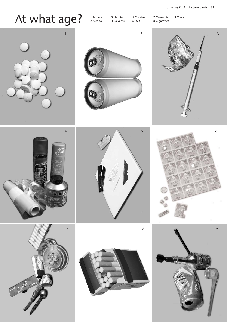## At what age?

1 Tablets 2 Alcohol

3 Heroin 4 Solvents 5 Cocaine 6 LSD

7 Cannabis 8 Cigarettes 9 Crack

1 and  $\lambda$  3 and  $\lambda$  3 and 3 and 3 and 3 and 3 and 3 and 3 and 3 and 3 and 3 and 3 and 3 and 3 and 3 and 3











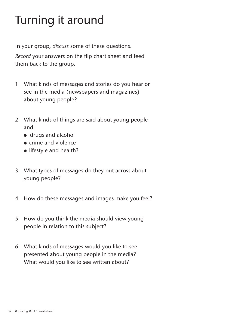## Turning it around

In your group, *discuss* some of these questions.

*Record* your answers on the flip chart sheet and feed them back to the group.

- 1 What kinds of messages and stories do you hear or see in the media (newspapers and magazines) about young people?
- 2 What kinds of things are said about young people and:
	- drugs and alcohol
	- crime and violence
	- lifestyle and health?
- 3 What types of messages do they put across about young people?
- 4 How do these messages and images make you feel?
- 5 How do you think the media should view young people in relation to this subject?
- 6 What kinds of messages would you like to see presented about young people in the media? What would you like to see written about?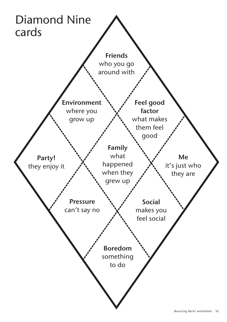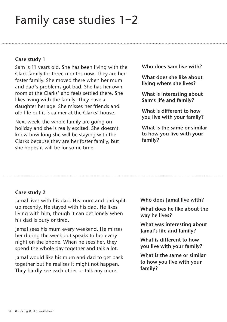## Family case studies 1–2

## **Case study 1**

Sam is 11 years old. She has been living with the Clark family for three months now. They are her foster family. She moved there when her mum and dad's problems got bad. She has her own room at the Clarks' and feels settled there. She likes living with the family. They have a daughter her age. She misses her friends and old life but it is calmer at the Clarks' house.

Next week, the whole family are going on holiday and she is really excited. She doesn't know how long she will be staying with the Clarks because they are her foster family, but she hopes it will be for some time.

**Who does Sam live with?** 

**What does she like about living where she lives?** 

**What is interesting about Sam's life and family?**

**What is different to how you live with your family?** 

**What is the same or similar to how you live with your family?** 

## **Case study 2**

Jamal lives with his dad. His mum and dad split up recently. He stayed with his dad. He likes living with him, though it can get lonely when his dad is busy or tired.

Jamal sees his mum every weekend. He misses her during the week but speaks to her every night on the phone. When he sees her, they spend the whole day together and talk a lot.

Jamal would like his mum and dad to get back together but he realises it might not happen. They hardly see each other or talk any more.

**Who does Jamal live with?**

**What does he like about the way he lives?** 

**What was interesting about Jamal's life and family?**

**What is different to how you live with your family?** 

**What is the same or similar to how you live with your family?**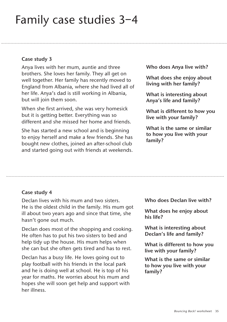## **Case study 3**

Anya lives with her mum, auntie and three brothers. She loves her family. They all get on well together. Her family has recently moved to England from Albania, where she had lived all of her life. Anya's dad is still working in Albania, but will join them soon.

When she first arrived, she was very homesick but it is getting better. Everything was so different and she missed her home and friends.

She has started a new school and is beginning to enjoy herself and make a few friends. She has bought new clothes, joined an after-school club and started going out with friends at weekends.

**Who does Anya live with?** 

**What does she enjoy about living with her family?**

**What is interesting about Anya's life and family?**

**What is different to how you live with your family?** 

**What is the same or similar to how you live with your family?** 

## **Case study 4**

Declan lives with his mum and two sisters. He is the oldest child in the family. His mum got ill about two years ago and since that time, she hasn't gone out much.

Declan does most of the shopping and cooking. He often has to put his two sisters to bed and help tidy up the house. His mum helps when she can but she often gets tired and has to rest.

Declan has a busy life. He loves going out to play football with his friends in the local park and he is doing well at school. He is top of his year for maths. He worries about his mum and hopes she will soon get help and support with her illness.

**Who does Declan live with?**

**What does he enjoy about his life?**

**What is interesting about Declan's life and family?**

**What is different to how you live with your family?** 

**What is the same or similar to how you live with your family?**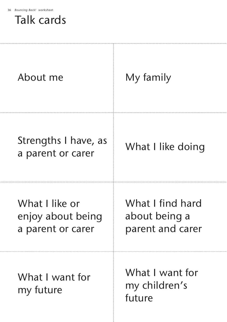## Talk cards

| About me                                                 | My family                                             |
|----------------------------------------------------------|-------------------------------------------------------|
| Strengths I have, as<br>a parent or carer                | What I like doing                                     |
| What I like or<br>enjoy about being<br>a parent or carer | What I find hard<br>about being a<br>parent and carer |
| What I want for<br>my future                             | What I want for<br>my children's<br>future            |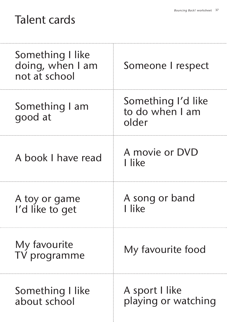## Talent cards

| Something I like<br>doing, when I am<br>not at school | Someone I respect                              |
|-------------------------------------------------------|------------------------------------------------|
| Something I am<br>good at                             | Something I'd like<br>to do when I am<br>older |
| A book I have read                                    | A movie or DVD<br>I like                       |
| A toy or game<br>I'd like to get                      | A song or band<br>I like                       |
| My favourite<br>TV programme                          | My favourite food                              |
| Something I like<br>about school                      | A sport I like<br>playing or watching          |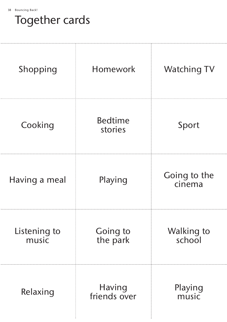## Together cards

| Shopping              | Homework                  | <b>Watching TV</b>     |
|-----------------------|---------------------------|------------------------|
| Cooking               | <b>Bedtime</b><br>stories | Sport                  |
| Having a meal         | Playing                   | Going to the<br>cinema |
| Listening to<br>music | Going to<br>the park      | Walking to<br>school   |
| Relaxing              | Having<br>friends over    | Playing<br>music       |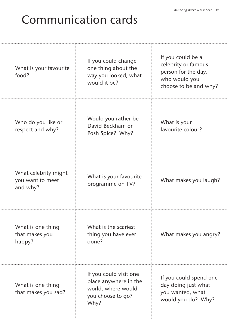## Communication cards

 $\ddotsc$ 

....

| What is your favourite<br>food?                      | If you could change<br>one thing about the<br>way you looked, what<br>would it be?                 | If you could be a<br>celebrity or famous<br>person for the day,<br>who would you<br>choose to be and why? |
|------------------------------------------------------|----------------------------------------------------------------------------------------------------|-----------------------------------------------------------------------------------------------------------|
| Who do you like or<br>respect and why?               | Would you rather be<br>David Beckham or<br>Posh Spice? Why?                                        | What is your<br>favourite colour?                                                                         |
| What celebrity might<br>you want to meet<br>and why? | What is your favourite<br>programme on TV?                                                         | What makes you laugh?                                                                                     |
| What is one thing<br>that makes you<br>happy?        | What is the scariest<br>thing you have ever<br>done?                                               | What makes you angry?                                                                                     |
| What is one thing<br>that makes you sad?             | If you could visit one<br>place anywhere in the<br>world, where would<br>you choose to go?<br>Why? | If you could spend one<br>day doing just what<br>you wanted, what<br>would you do? Why?                   |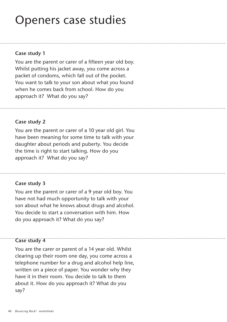## Openers case studies

## **Case study 1**

You are the parent or carer of a fifteen year old boy. Whilst putting his jacket away, you come across a packet of condoms, which fall out of the pocket. You want to talk to your son about what you found when he comes back from school. How do you approach it? What do you say?

## **Case study 2**

You are the parent or carer of a 10 year old girl. You have been meaning for some time to talk with your daughter about periods and puberty. You decide the time is right to start talking. How do you approach it? What do you say?

## **Case study 3**

You are the parent or carer of a 9 year old boy. You have not had much opportunity to talk with your son about what he knows about drugs and alcohol. You decide to start a conversation with him. How do you approach it? What do you say?

## **Case study 4**

You are the carer or parent of a 14 year old. Whilst clearing up their room one day, you come across a telephone number for a drug and alcohol help line, written on a piece of paper. You wonder why they have it in their room. You decide to talk to them about it. How do you approach it? What do you say?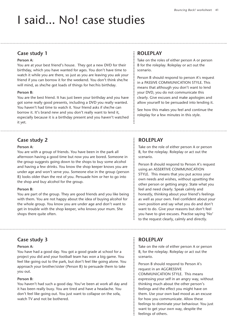## I said… No! case studies

## **Case study 1**

### **Person A:**

You are at your best friend's house. They got a new DVD for their birthday, which you have wanted for ages. You don't have time to watch it while you are there, so just as you are leaving you ask your friend if you can borrow it for the weekend. You don't think she/he will mind, as she/he got loads of things for her/his birthday.

### **Person B:**

You are the best friend. It has just been your birthday and you have got some really good presents, including a DVD you really wanted. You haven't had time to watch it. Your friend asks if she/he can borrow it. It's brand new and you don't really want to lend it, especially because it is a birthday present and you haven't watched it yet.

## **ROLEPLAY**

Take on the roles of either person A or person B for the roleplay. Roleplay or act out the scenario.

Person B should respond to person A's request in a PASSIVE COMMUNICATION STYLE. This means that although you don't want to lend your DVD, you do not communicate this clearly. Give excuses and make apologies and allow yourself to be persuaded into lending it.

See how this makes you feel and continue the roleplay for a few minutes in this style.

## **Case study 2**

### **Person A:**

You are with a group of friends. You have been in the park all afternoon having a good time but now you are bored. Someone in the group suggests going down to the shops to buy some alcohol and having a few drinks. You know the shop keeper knows you are under age and won't serve you. Someone else in the group (person B) looks older than the rest of you. Persuade him or her to go into the shop and buy alcohol for the group.

### **Person B:**

You are part of the group. They are good friends and you like being with them. You are not happy about the idea of buying alcohol for the whole group. You know you are under age and don't want to get in trouble with the shop keeper, who knows your mum. She shops there quite often.

## **ROLEPLAY**

Take on the role of either person A or person B, for the roleplay. Roleplay or act out the scenario.

Person B should respond to Person A's request using an ASSERTIVE COMMUNICATION STYLE. This means that you put across your own needs and wishes, without upsetting the other person or getting angry. State what you feel and need clearly. Speak calmly and honestly, thinking about your friend's feelings as well as your own. Feel confident about your own position and say what you do and don't want to do. Give your reasons but don't feel you have to give excuses. Practise saying 'No' to the request clearly, calmly and directly.

## **Case study 3**

### **Person A:**

You have had a good day. You got a good grade at school for a project you did and your football team has won a big game. You feel like going out to the park, but don't feel like going alone. You approach your brother/sister (Person B) to persuade them to take you out.

### **Person B:**

You haven't had such a good day. You've been at work all day and it has been really busy. You are tired and have a headache. You don't feel like going out. You just want to collapse on the sofa, watch TV and not be bothered.

## **ROLEPLAY**

Take on the role of either person A or person B, for the roleplay. Roleplay or act out the scenario.

Person B should respond to Person A's request in an AGGRESSIVE COMMUNICATION STYLE. This means expressing your self in an angry way, without thinking much about the other person's feelings and the effect you might have on them. Use your own bad mood as an excuse for how you communicate. Allow these feelings to dominate your behaviour. You just want to get your own way, despite the feelings of others.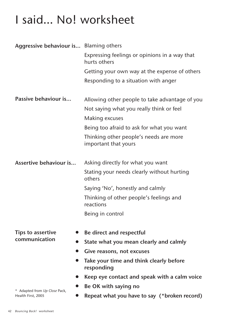## I said… No! worksheet

| Aggressive behaviour is Blaming others |                                                                |  |
|----------------------------------------|----------------------------------------------------------------|--|
|                                        | Expressing feelings or opinions in a way that<br>hurts others  |  |
|                                        | Getting your own way at the expense of others                  |  |
|                                        | Responding to a situation with anger                           |  |
| Passive behaviour is                   | Allowing other people to take advantage of you                 |  |
|                                        | Not saying what you really think or feel                       |  |
|                                        | <b>Making excuses</b>                                          |  |
|                                        | Being too afraid to ask for what you want                      |  |
|                                        | Thinking other people's needs are more<br>important that yours |  |
| Assertive behaviour is                 | Asking directly for what you want                              |  |
|                                        | Stating your needs clearly without hurting<br>others           |  |
|                                        | Saying 'No', honestly and calmly                               |  |
|                                        | Thinking of other people's feelings and<br>reactions           |  |
|                                        | Being in control                                               |  |
| <b>Tips to assertive</b>               | Be direct and respectful                                       |  |
| communication                          | State what you mean clearly and calmly                         |  |
|                                        | Give reasons, not excuses                                      |  |
|                                        | Take your time and think clearly before<br>responding          |  |
|                                        | Keep eye contact and speak with a calm voice                   |  |
| * Adapted from Up Close Pack,          | Be OK with saying no                                           |  |
| Health First, 2005                     | Repeat what you have to say (*broken record)                   |  |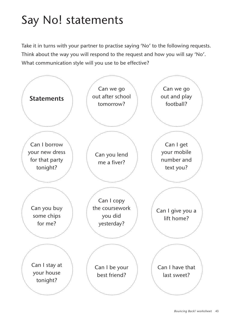## Say No! statements

Take it in turns with your partner to practise saying 'No' to the following requests. Think about the way you will respond to the request and how you will say 'No'. What communication style will you use to be effective?

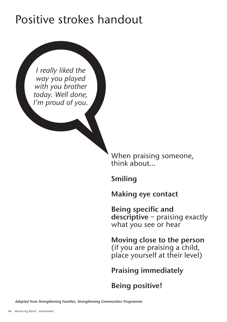## Positive strokes handout

Positive strokes har<br>
I really liked the<br>
way you played<br>
with you brother<br>
today. Well done,<br>
I'm proud of you. *I really liked the way you played with you brother today. Well done, I'm proud of you.*

> When praising someone, think about…

**Smiling**

**Making eye contact**

**Being specific and descriptive** – praising exactly what you see or hear

**Moving close to the person**  (if you are praising a child, place yourself at their level)

**Praising immediately**

**Being positive!**

*Adapted from Strengthening Families, Strengthening Communities Programme*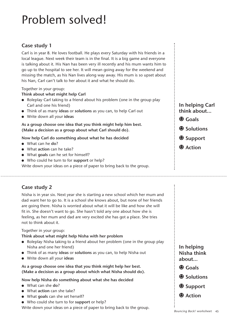## Problem solved!

## **Case study 1**

Carl is in year 8. He loves football. He plays every Saturday with his friends in a local league. Next week their team is in the final. It is a big game and everyone is talking about it. His Nan has been very ill recently and his mum wants him to go up to the hospital to see her. It will mean going away for the weekend and missing the match, as his Nan lives along way away. His mum is so upset about his Nan, Carl can't talk to her about it and what he should do.

### Together in your group:

### **Think about what might help Carl**

- Roleplay Carl taking to a friend about his problem (one in the group play Carl and one his friend)
- Think of as many **ideas** or **solutions** as you can, to help Carl out
- Write down all your **ideas**

## **As a group choose one idea that you think might help him best. (Make a decision as a group about what Carl should do).**

## **Now help Carl do something about what he has decided**

- What can he **do**?
- What **action** can he take?
- What **goals** can he set for himself?
- Who could he turn to for **support** or help?

Write down your ideas on a piece of paper to bring back to the group.

**In helping Carl think about...** 1 **Goals**   $\bigcirc$  Solutions

- $\bigcirc$  Support
- $\bigcirc$  Action

## **Case study 2**

Nisha is in year six. Next year she is starting a new school which her mum and dad want her to go to. It is a school she knows about, but none of her friends are going there. Nisha is worried about what it will be like and how she will fit in. She doesn't want to go. She hasn't told any one about how she is feeling, as her mum and dad are very excited she has got a place. She tries not to think about it.

### Together in your group:

## **Think about what might help Nisha with her problem**

- Roleplay Nisha taking to a friend about her problem (one in the group play Nisha and one her friend)
- Think of as many **ideas** or **solutions** as you can, to help Nisha out
- Write down all your **ideas**

### **As a group choose one idea that you think might help her best. (Make a decision as a group about which what Nisha should do).**

## **Now help Nisha do something about what she has decided**

- What can she **do**?
- What **action** can she take?
- What **goals** can she set herself?
- Who could she turn to for **support** or help?

Write down your ideas on a piece of paper to bring back to the group.

**In helping Nisha think about...**

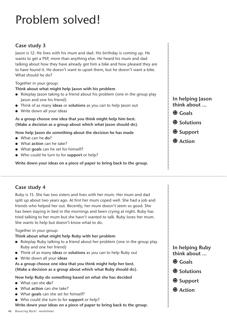## Problem solved!

## **Case study 3**

Jason is 12. He lives with his mum and dad. His birthday is coming up. He wants to get a PSP, more than anything else. He heard his mum and dad talking about how they have already got him a bike and how pleased they are to have found it. He doesn't want to upset them, but he doesn't want a bike. What should he do?

Together in your group:

## **Think about what might help Jason with his problem**

- Roleplay Jason taking to a friend about his problem (one in the group play Jason and one his friend)
- Think of as many **ideas** or **solutions** as you can to help Jason out
- Write down all your ideas

### **As a group choose one idea that you think might help him best. (Make a decision as a group about which what Jason should do).**

**Now help Jason do something about the decision he has made** 

- What can he **do**?
- What **action** can he take?
- What **goals** can he set for himself?
- Who could he turn to for **support** or help?

**Write down your ideas on a piece of paper to bring back to the group.**

## **Case study 4**

Ruby is 15. She has two sisters and lives with her mum. Her mum and dad split up about two years ago. At first her mum coped well. She had a job and friends who helped her out. Recently, her mum doesn't seem so good. She has been staying in bed in the mornings and been crying at night. Ruby has tried talking to her mum but she hasn't wanted to talk. Ruby loves her mum. She wants to help but doesn't know what to do.

## Together in your group:

## **Think about what might help Ruby with her problem**

- Roleplay Ruby talking to a friend about her problem (one in the group play Ruby and one her friend)
- Think of as many **ideas** or **solutions** as you can to help Ruby out
- Write down all your **ideas**

**As a group choose one idea that you think might help her best. (Make a decision as a group about which what Ruby should do).**

## **Now help Ruby do something based on what she has decided**

- What can she **do**?
- What **action** can she take?
- What **goals** can she set for himself?
- Who could she turn to for **support** or help?

**Write down your ideas on a piece of paper to bring back to the group.**



**In helping Ruby think about ...**

1 **Goals** 

 $\bigcirc$  Solutions

 $\bigcirc$  Support

 $\bigoplus$  Action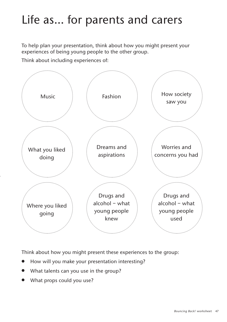## Life as… for parents and carers

To help plan your presentation, think about how you might present your experiences of being young people to the other group.

Think about including experiences of:



Think about how you might present these experiences to the group:

- How will you make your presentation interesting?
- What talents can you use in the group?
- What props could you use?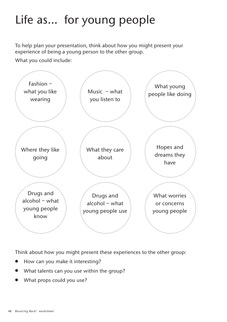## Life as… for young people

To help plan your presentation, think about how you might present your experience of being a young person to the other group.

What you could include:



Think about how you might present these experiences to the other group:

- How can you make it interesting?
- What talents can you use within the group?
- What props could you use?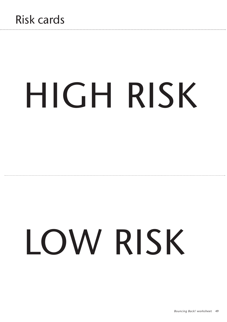# HIGH RISK

## LOW RISK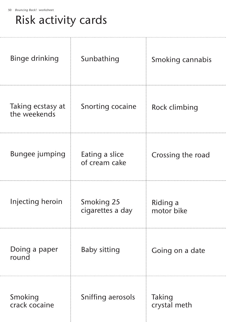## Risk activity cards

| <b>Binge drinking</b>             | Sunbathing                            | Smoking cannabis       |
|-----------------------------------|---------------------------------------|------------------------|
| Taking ecstasy at<br>the weekends | <b>Snorting cocaine</b>               | Rock climbing          |
| <b>Bungee jumping</b>             | Eating a slice<br>of cream cake       | Crossing the road      |
| Injecting heroin                  | <b>Smoking 25</b><br>cigarettes a day | Riding a<br>motor bike |
| Doing a paper<br>round            | <b>Baby sitting</b>                   | Going on a date        |
| Smoking<br>crack cocaine          | Sniffing aerosols                     | Taking<br>crystal meth |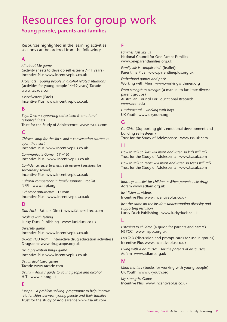## Resources for group work

## **Young people, parents and families**

Resources highlighted in the learning activities sections can be ordered from the following:

## **A**

### *All about Me game*

(activity sheets to develop self esteem 7–11 years) Incentive Plus www.incentiveplus.co.uk

*Alcoshots – young people in alcohol related situations* (activities for young people 14–19 years) Tacade www.tacade.com

*Assertiveness* (Pack) Incentive Plus www.incentiveplus.co.uk

## **B**

*Boys Own – supporting self esteem & emotional resourcefulness*

Trust for the Study of Adolescence www.tsa.uk.com

## **C**

*Chicken soup for the kid's soul – conversation starters to open the heart*  Incentive Plus www.incentiveplus.co.uk

*Communicate Game* (11–16)

Incentive Plus www.incentiveplus.co.uk

*Confidence, assertiveness, self esteem* (sessions for secondary school) Incentive Plus www.incentiveplus.co.uk

*Cultural competence in family support – toolkit*  NFPI www.nfpi.org

*Cyberace anti-racism* CD Rom Incentive Plus www.incentiveplus.co.uk

## **D**

*Dad Pack* Fathers Direct www.fathersdirect.com

*Dealing with feeling* Lucky Duck Publishing www.luckduck.co.uk

*Diversity game* Incentive Plus www.incentiveplus.co.uk

*D-Rom (*CD Rom – interactive drug education activities) Drugscope www.drugscope.org.uk

*Drug prevention bingo game* Incentive Plus www.incentiveplus.co.uk

*Drugs deal* Card game Tacade www.tacade.com

*Drunk – Adult's guide to young people and alcohol*  HIT www.hit.org.uk

## **E**

*Escape – a problem solving programme to help improve relationships between young people and their families*  Trust for the study of Adolescence www.tsa.uk.com

## **F**

*Families Just like us*  National Council for One Parent Families www.oneparentfamilies.org.uk

*Family life Is complicated* (leaflet) Parentline Plus www.parentlineplus.org.uk

*Fatherhood games and pack* Working with Men www.workingwithmen.org

*From strength to strength* (a manual to facilitate diverse parent groups) Australian Council For Educational Research www.acer.edu

*Fundamental – working with boys* UK Youth www.ukyouth.org

## **G**

*Go Girls!* (Supporting girl's emotional development and building self-esteem) Trust for the Study of Adolescence www.tsa.uk.com

## **H**

*How to talk so kids will listen and listen so kids will talk*  Trust for the Study of Adolescents www.tsa.uk.com

*How to talk so teens will listen and listen so teens will talk* Trust for the Study of Adolescents www.tsa.uk.com

## **J**

*Journeys booklet for children – When parents take drugs* Adfam www.adfam.org.uk

*Just listen …* videos Incentive Plus www.incentiveplus.co.uk

*Just the same on the inside – understanding diversity and supporting inclusion*  Lucky Duck Publishing www.luckyduck.co.uk

## **L**

*Listening to children* (a guide for parents and carers) NSPCC www.nspcc.org.uk

*Lets Talk* (discussion and prompt cards for use in groups) Incentive Plus www.incentiveplus.co.uk

*Living with a drug user – for the parents of drug users*  Adfam www.adfam.org.uk

## **M**

*Mind matters* (books for working with young people) UK Youth www.ukyouth.org

*My strengths* Game Incentive Plus www.incentiveplus.co.uk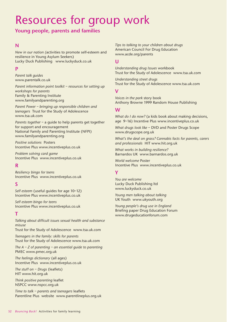## Resources for group work

## **Young people, parents and families**

## **N**

*New in our nation (*activities to promote self-esteem and resilience in Young Asylum Seekers) Lucky Duck Publishing www.luckyduck.co.uk

## **P**

*Parent talk guides* www.parentalk.co.uk

*Parent information point toolkit – resources for setting up workshops for parents*  Family & Parenting Institute www.familyandparenting.org

*Parent Power – bringing up responsible children and teenagers* Trust for the Study of Adolescence www.tsa.uk.com

*Parents together* – a guide to help parents get together for support and encouragement National Family and Parenting Institute (NFPI) www.familyandparenting.org

*Positive solutions* Posters Incentive Plus www.incentiveplus.co.uk

*Problem solving card game* Incentive Plus www.incentiveplus.co.uk

## **R**

*Resiliency bingo for teens* Incentive Plus www.incentiveplus.co.uk

## **S**

*Self esteem* (useful guides for age 10–12) Incentive Plus www.incentiveplus.co.uk

*Self esteem bingo for teens*  Incentive Plus www.incentiveplus.co.uk

## **T**

*Talking about difficult issues sexual health and substance misuse* 

Trust for the Study of Adolescence www.tsa.uk.com

*Teenagers in the family: skills for parents* Trust for the Study of Adolescence www.tsa.uk.com

*The A – Z of parenting – an essential guide to parenting* PMEC www.pmec.org.uk

*The feelings dictionary* (all ages) Incentive Plus www.incentiveplus.co.uk

*The stuff on – Drugs* (leaflets) HIT www.hit.org.uk

*Think positive parenting* leaflet NSPCC www.nspcc.org.uk

*Time to talk – parents and teenagers* leaflets Parentline Plus website www.parentlineplus.org.uk *Tips to talking to your children about drugs*  American Council For Drug Education www.acde.org/parents

## **U**

*Understanding drug Issues* workbook Trust for the Study of Adolescence www.tsa.uk.com

*Understanding street drugs* Trust for the Study of Adolescence www.tsa.uk.com

## **V**

*Voices in the park* story book Anthony Browne 1999 Random House Publishing

## **W**

*What do I do now?* (a kids book about making decisions, age 9–16) Incentive Plus www.incentiveplus.co.uk

*What drugs look like* – DVD and Poster Drugs Scope www.drugscope.org.uk

*What's the deal on grass? Cannabis facts for parents, carers and professionals* HIT www.hit.org.uk

*What works in building resilience?* Barnardos UK www.barnardos.org.uk

*World welcome* Poster Incentive Plus www.incentiveplus.co.uk

## **Y**

*You are welcome*  Lucky Duck Publishing ltd www.luckyduck.co.uk

*Young men talking about talking* UK Youth www.ukyouth.org

*Young people's drug use in England*  Briefing paper Drug Education Forum www.drugeducationforum.com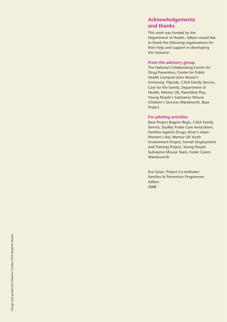## **Acknowledgements and thanks**

This work was funded by the Department of Health. Adfam would like to thank the following organisations for their help and support in developing this resource:

### **From the advisory group**

The National Collaborating Centre for Drug Prevention, Centre for Public Health Liverpool John Moore's University, Flipside, CASA Family Service, Care for the Family, Department of Health, Mentor UK, Parentline Plus, Young People's Substance Misuse Children's Services Wandworth, Base Project

### **For piloting activities**

Base Project Bognor Regis, CASA Family Service, Dudley Foster Care Association, Families Against Drugs, Kiran's Asian Women's Aid, Mentor UK Youth Involvement Project, Somali Employment and Training Project, Young People Substance Misuse Team, Foster Carers Wandsworth

Eva Geser, Project Co-ordinator Families & Prevention Programme Adfam 2008